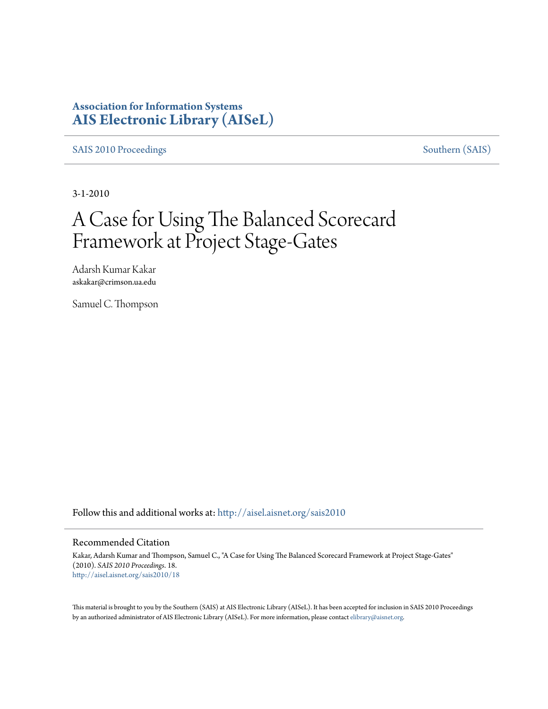### **Association for Information Systems [AIS Electronic Library \(AISeL\)](http://aisel.aisnet.org?utm_source=aisel.aisnet.org%2Fsais2010%2F18&utm_medium=PDF&utm_campaign=PDFCoverPages)**

[SAIS 2010 Proceedings](http://aisel.aisnet.org/sais2010?utm_source=aisel.aisnet.org%2Fsais2010%2F18&utm_medium=PDF&utm_campaign=PDFCoverPages) [Southern \(SAIS\)](http://aisel.aisnet.org/sais?utm_source=aisel.aisnet.org%2Fsais2010%2F18&utm_medium=PDF&utm_campaign=PDFCoverPages)

3-1-2010

# A Case for Using The Balanced Scorecard Framework at Project Stage-Gates

Adarsh Kumar Kakar askakar@crimson.ua.edu

Samuel C. Thompson

Follow this and additional works at: [http://aisel.aisnet.org/sais2010](http://aisel.aisnet.org/sais2010?utm_source=aisel.aisnet.org%2Fsais2010%2F18&utm_medium=PDF&utm_campaign=PDFCoverPages)

#### Recommended Citation

Kakar, Adarsh Kumar and Thompson, Samuel C., "A Case for Using The Balanced Scorecard Framework at Project Stage-Gates" (2010). *SAIS 2010 Proceedings*. 18. [http://aisel.aisnet.org/sais2010/18](http://aisel.aisnet.org/sais2010/18?utm_source=aisel.aisnet.org%2Fsais2010%2F18&utm_medium=PDF&utm_campaign=PDFCoverPages)

This material is brought to you by the Southern (SAIS) at AIS Electronic Library (AISeL). It has been accepted for inclusion in SAIS 2010 Proceedings by an authorized administrator of AIS Electronic Library (AISeL). For more information, please contact [elibrary@aisnet.org](mailto:elibrary@aisnet.org%3E).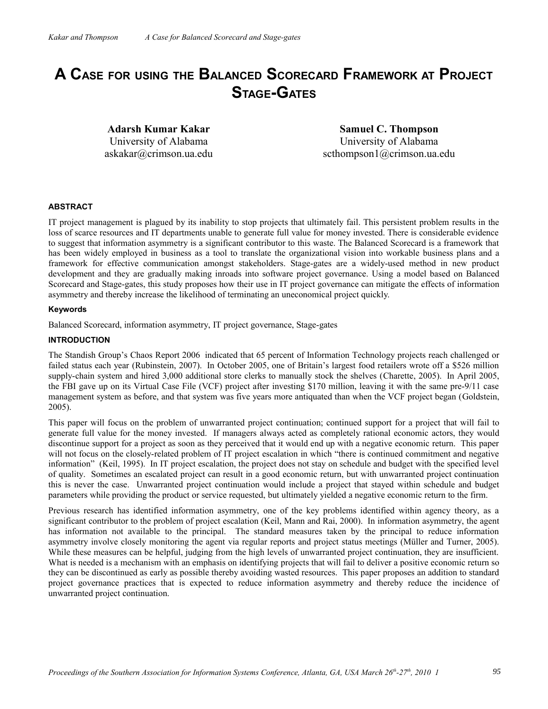## **A CASE FOR USING THE BALANCED SCORECARD FRAMEWORK AT PROJECT STAGE-GATES**

**Adarsh Kumar Kakar** University of Alabama askakar@crimson.ua.edu

**Samuel C. Thompson** University of Alabama scthompson1@crimson.ua.edu

#### **ABSTRACT**

IT project management is plagued by its inability to stop projects that ultimately fail. This persistent problem results in the loss of scarce resources and IT departments unable to generate full value for money invested. There is considerable evidence to suggest that information asymmetry is a significant contributor to this waste. The Balanced Scorecard is a framework that has been widely employed in business as a tool to translate the organizational vision into workable business plans and a framework for effective communication amongst stakeholders. Stage-gates are a widely-used method in new product development and they are gradually making inroads into software project governance. Using a model based on Balanced Scorecard and Stage-gates, this study proposes how their use in IT project governance can mitigate the effects of information asymmetry and thereby increase the likelihood of terminating an uneconomical project quickly.

#### **Keywords**

Balanced Scorecard, information asymmetry, IT project governance, Stage-gates

#### **INTRODUCTION**

The Standish Group's Chaos Report 2006 indicated that 65 percent of Information Technology projects reach challenged or failed status each year (Rubinstein, 2007). In October 2005, one of Britain's largest food retailers wrote off a \$526 million supply-chain system and hired 3,000 additional store clerks to manually stock the shelves (Charette, 2005). In April 2005, the FBI gave up on its Virtual Case File (VCF) project after investing \$170 million, leaving it with the same pre-9/11 case management system as before, and that system was five years more antiquated than when the VCF project began (Goldstein, 2005).

This paper will focus on the problem of unwarranted project continuation; continued support for a project that will fail to generate full value for the money invested. If managers always acted as completely rational economic actors, they would discontinue support for a project as soon as they perceived that it would end up with a negative economic return. This paper will not focus on the closely-related problem of IT project escalation in which "there is continued commitment and negative information" (Keil, 1995). In IT project escalation, the project does not stay on schedule and budget with the specified level of quality. Sometimes an escalated project can result in a good economic return, but with unwarranted project continuation this is never the case. Unwarranted project continuation would include a project that stayed within schedule and budget parameters while providing the product or service requested, but ultimately yielded a negative economic return to the firm.

Previous research has identified information asymmetry, one of the key problems identified within agency theory, as a significant contributor to the problem of project escalation (Keil, Mann and Rai, 2000). In information asymmetry, the agent has information not available to the principal. The standard measures taken by the principal to reduce information asymmetry involve closely monitoring the agent via regular reports and project status meetings (Müller and Turner, 2005). While these measures can be helpful, judging from the high levels of unwarranted project continuation, they are insufficient. What is needed is a mechanism with an emphasis on identifying projects that will fail to deliver a positive economic return so they can be discontinued as early as possible thereby avoiding wasted resources. This paper proposes an addition to standard project governance practices that is expected to reduce information asymmetry and thereby reduce the incidence of unwarranted project continuation.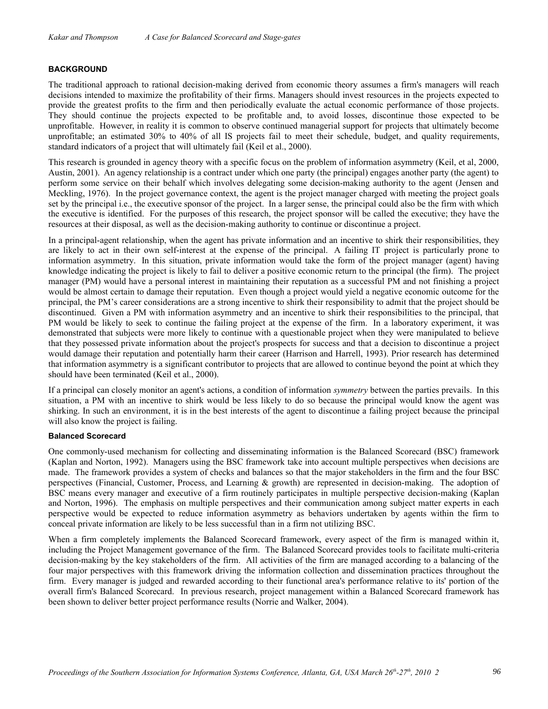#### **BACKGROUND**

The traditional approach to rational decision-making derived from economic theory assumes a firm's managers will reach decisions intended to maximize the profitability of their firms. Managers should invest resources in the projects expected to provide the greatest profits to the firm and then periodically evaluate the actual economic performance of those projects. They should continue the projects expected to be profitable and, to avoid losses, discontinue those expected to be unprofitable. However, in reality it is common to observe continued managerial support for projects that ultimately become unprofitable; an estimated 30% to 40% of all IS projects fail to meet their schedule, budget, and quality requirements, standard indicators of a project that will ultimately fail (Keil et al., 2000).

This research is grounded in agency theory with a specific focus on the problem of information asymmetry (Keil, et al, 2000, Austin, 2001). An agency relationship is a contract under which one party (the principal) engages another party (the agent) to perform some service on their behalf which involves delegating some decision-making authority to the agent (Jensen and Meckling, 1976). In the project governance context, the agent is the project manager charged with meeting the project goals set by the principal i.e., the executive sponsor of the project. In a larger sense, the principal could also be the firm with which the executive is identified. For the purposes of this research, the project sponsor will be called the executive; they have the resources at their disposal, as well as the decision-making authority to continue or discontinue a project.

In a principal-agent relationship, when the agent has private information and an incentive to shirk their responsibilities, they are likely to act in their own self-interest at the expense of the principal. A failing IT project is particularly prone to information asymmetry. In this situation, private information would take the form of the project manager (agent) having knowledge indicating the project is likely to fail to deliver a positive economic return to the principal (the firm). The project manager (PM) would have a personal interest in maintaining their reputation as a successful PM and not finishing a project would be almost certain to damage their reputation. Even though a project would yield a negative economic outcome for the principal, the PM's career considerations are a strong incentive to shirk their responsibility to admit that the project should be discontinued. Given a PM with information asymmetry and an incentive to shirk their responsibilities to the principal, that PM would be likely to seek to continue the failing project at the expense of the firm. In a laboratory experiment, it was demonstrated that subjects were more likely to continue with a questionable project when they were manipulated to believe that they possessed private information about the project's prospects for success and that a decision to discontinue a project would damage their reputation and potentially harm their career (Harrison and Harrell, 1993). Prior research has determined that information asymmetry is a significant contributor to projects that are allowed to continue beyond the point at which they should have been terminated (Keil et al., 2000).

If a principal can closely monitor an agent's actions, a condition of information *symmetry* between the parties prevails. In this situation, a PM with an incentive to shirk would be less likely to do so because the principal would know the agent was shirking. In such an environment, it is in the best interests of the agent to discontinue a failing project because the principal will also know the project is failing.

#### **Balanced Scorecard**

One commonly-used mechanism for collecting and disseminating information is the Balanced Scorecard (BSC) framework (Kaplan and Norton, 1992). Managers using the BSC framework take into account multiple perspectives when decisions are made. The framework provides a system of checks and balances so that the major stakeholders in the firm and the four BSC perspectives (Financial, Customer, Process, and Learning & growth) are represented in decision-making. The adoption of BSC means every manager and executive of a firm routinely participates in multiple perspective decision-making (Kaplan and Norton, 1996). The emphasis on multiple perspectives and their communication among subject matter experts in each perspective would be expected to reduce information asymmetry as behaviors undertaken by agents within the firm to conceal private information are likely to be less successful than in a firm not utilizing BSC.

When a firm completely implements the Balanced Scorecard framework, every aspect of the firm is managed within it, including the Project Management governance of the firm. The Balanced Scorecard provides tools to facilitate multi-criteria decision-making by the key stakeholders of the firm. All activities of the firm are managed according to a balancing of the four major perspectives with this framework driving the information collection and dissemination practices throughout the firm. Every manager is judged and rewarded according to their functional area's performance relative to its' portion of the overall firm's Balanced Scorecard. In previous research, project management within a Balanced Scorecard framework has been shown to deliver better project performance results (Norrie and Walker, 2004).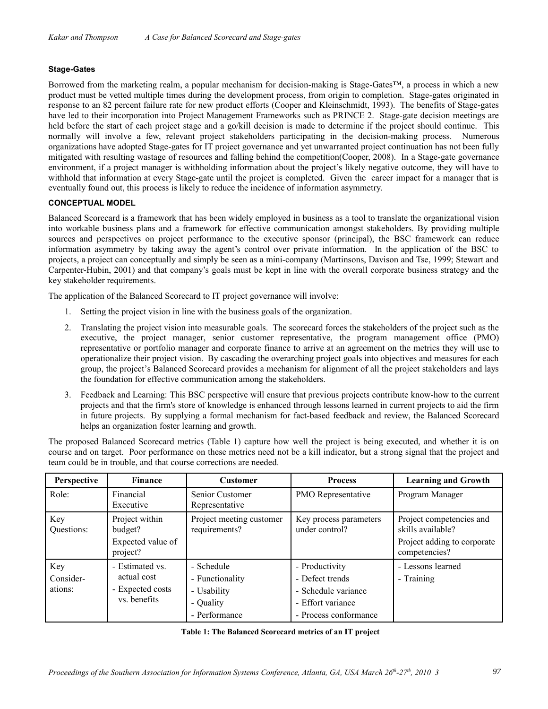#### **Stage-Gates**

Borrowed from the marketing realm, a popular mechanism for decision-making is Stage-Gates™, a process in which a new product must be vetted multiple times during the development process, from origin to completion. Stage-gates originated in response to an 82 percent failure rate for new product efforts (Cooper and Kleinschmidt, 1993). The benefits of Stage-gates have led to their incorporation into Project Management Frameworks such as PRINCE 2. Stage-gate decision meetings are held before the start of each project stage and a go/kill decision is made to determine if the project should continue. This normally will involve a few, relevant project stakeholders participating in the decision-making process. Numerous organizations have adopted Stage-gates for IT project governance and yet unwarranted project continuation has not been fully mitigated with resulting wastage of resources and falling behind the competition(Cooper, 2008). In a Stage-gate governance environment, if a project manager is withholding information about the project's likely negative outcome, they will have to withhold that information at every Stage-gate until the project is completed. Given the career impact for a manager that is eventually found out, this process is likely to reduce the incidence of information asymmetry.

#### **CONCEPTUAL MODEL**

Balanced Scorecard is a framework that has been widely employed in business as a tool to translate the organizational vision into workable business plans and a framework for effective communication amongst stakeholders. By providing multiple sources and perspectives on project performance to the executive sponsor (principal), the BSC framework can reduce information asymmetry by taking away the agent's control over private information. In the application of the BSC to projects, a project can conceptually and simply be seen as a mini-company (Martinsons, Davison and Tse, 1999; Stewart and Carpenter-Hubin, 2001) and that company's goals must be kept in line with the overall corporate business strategy and the key stakeholder requirements.

The application of the Balanced Scorecard to IT project governance will involve:

- 1. Setting the project vision in line with the business goals of the organization.
- 2. Translating the project vision into measurable goals. The scorecard forces the stakeholders of the project such as the executive, the project manager, senior customer representative, the program management office (PMO) representative or portfolio manager and corporate finance to arrive at an agreement on the metrics they will use to operationalize their project vision. By cascading the overarching project goals into objectives and measures for each group, the project's Balanced Scorecard provides a mechanism for alignment of all the project stakeholders and lays the foundation for effective communication among the stakeholders.
- 3. Feedback and Learning: This BSC perspective will ensure that previous projects contribute know-how to the current projects and that the firm's store of knowledge is enhanced through lessons learned in current projects to aid the firm in future projects. By supplying a formal mechanism for fact-based feedback and review, the Balanced Scorecard helps an organization foster learning and growth.

The proposed Balanced Scorecard metrics (Table 1) capture how well the project is being executed, and whether it is on course and on target. Poor performance on these metrics need not be a kill indicator, but a strong signal that the project and team could be in trouble, and that course corrections are needed.

| Perspective                 | <b>Finance</b>                                                     | <b>Customer</b>                                                            | <b>Process</b>                                                                                         | <b>Learning and Growth</b>                                                                    |  |
|-----------------------------|--------------------------------------------------------------------|----------------------------------------------------------------------------|--------------------------------------------------------------------------------------------------------|-----------------------------------------------------------------------------------------------|--|
| Role:                       | Financial<br>Executive                                             | Senior Customer<br>Representative                                          | PMO Representative                                                                                     | Program Manager                                                                               |  |
| Key<br>Questions:           | Project within<br>budget?<br>Expected value of<br>project?         | Project meeting customer<br>requirements?                                  | Key process parameters<br>under control?                                                               | Project competencies and<br>skills available?<br>Project adding to corporate<br>competencies? |  |
| Key<br>Consider-<br>ations: | - Estimated vs.<br>actual cost<br>- Expected costs<br>vs. benefits | - Schedule<br>- Functionality<br>- Usability<br>- Quality<br>- Performance | - Productivity<br>- Defect trends<br>- Schedule variance<br>- Effort variance<br>- Process conformance | - Lessons learned<br>- Training                                                               |  |

|  | Table 1: The Balanced Scorecard metrics of an IT project |  |  |
|--|----------------------------------------------------------|--|--|
|  |                                                          |  |  |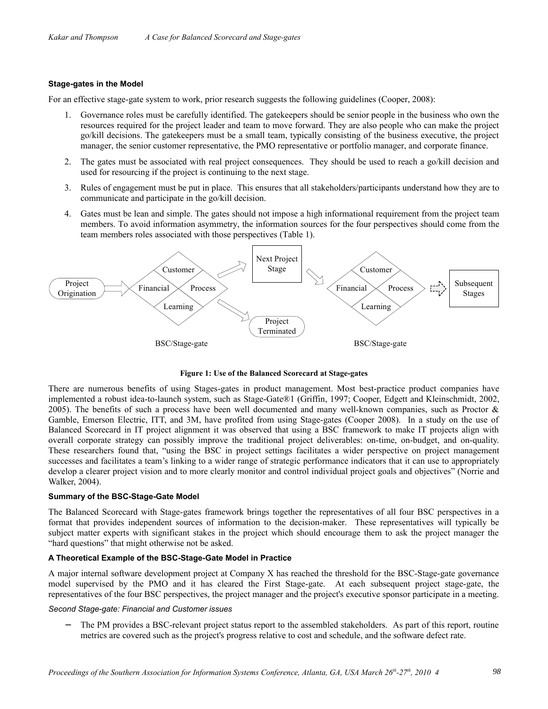#### **Stage-gates in the Model**

For an effective stage-gate system to work, prior research suggests the following guidelines (Cooper, 2008):

- 1. Governance roles must be carefully identified. The gatekeepers should be senior people in the business who own the resources required for the project leader and team to move forward. They are also people who can make the project go/kill decisions. The gatekeepers must be a small team, typically consisting of the business executive, the project manager, the senior customer representative, the PMO representative or portfolio manager, and corporate finance.
- 2. The gates must be associated with real project consequences. They should be used to reach a go/kill decision and used for resourcing if the project is continuing to the next stage.
- 3. Rules of engagement must be put in place. This ensures that all stakeholders/participants understand how they are to communicate and participate in the go/kill decision.
- 4. Gates must be lean and simple. The gates should not impose a high informational requirement from the project team members. To avoid information asymmetry, the information sources for the four perspectives should come from the team members roles associated with those perspectives (Table 1).



**Figure 1: Use of the Balanced Scorecard at Stage-gates**

There are numerous benefits of using Stages-gates in product management. Most best-practice product companies have implemented a robust idea-to-launch system, such as Stage-Gate®1 (Griffin, 1997; Cooper, Edgett and Kleinschmidt, 2002, 2005). The benefits of such a process have been well documented and many well-known companies, such as Proctor  $\&$ Gamble, Emerson Electric, ITT, and 3M, have profited from using Stage-gates (Cooper 2008). In a study on the use of Balanced Scorecard in IT project alignment it was observed that using a BSC framework to make IT projects align with overall corporate strategy can possibly improve the traditional project deliverables: on-time, on-budget, and on-quality. These researchers found that, "using the BSC in project settings facilitates a wider perspective on project management successes and facilitates a team's linking to a wider range of strategic performance indicators that it can use to appropriately develop a clearer project vision and to more clearly monitor and control individual project goals and objectives" (Norrie and Walker, 2004).

#### **Summary of the BSC-Stage-Gate Model**

The Balanced Scorecard with Stage-gates framework brings together the representatives of all four BSC perspectives in a format that provides independent sources of information to the decision-maker. These representatives will typically be subject matter experts with significant stakes in the project which should encourage them to ask the project manager the "hard questions" that might otherwise not be asked.

#### **A Theoretical Example of the BSC-Stage-Gate Model in Practice**

A major internal software development project at Company X has reached the threshold for the BSC-Stage-gate governance model supervised by the PMO and it has cleared the First Stage-gate. At each subsequent project stage-gate, the representatives of the four BSC perspectives, the project manager and the project's executive sponsor participate in a meeting.

#### *Second Stage-gate: Financial and Customer issues*

The PM provides a BSC-relevant project status report to the assembled stakeholders. As part of this report, routine metrics are covered such as the project's progress relative to cost and schedule, and the software defect rate.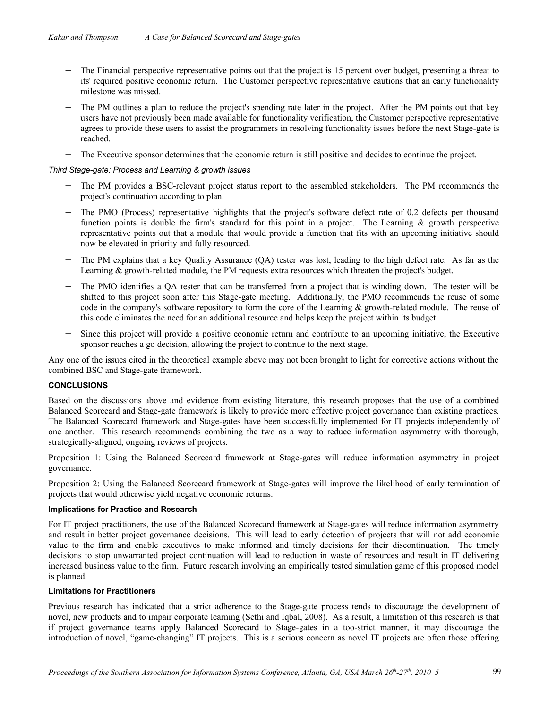- The Financial perspective representative points out that the project is 15 percent over budget, presenting a threat to its' required positive economic return. The Customer perspective representative cautions that an early functionality milestone was missed.
- The PM outlines a plan to reduce the project's spending rate later in the project. After the PM points out that key users have not previously been made available for functionality verification, the Customer perspective representative agrees to provide these users to assist the programmers in resolving functionality issues before the next Stage-gate is reached.
- − The Executive sponsor determines that the economic return is still positive and decides to continue the project.

*Third Stage-gate: Process and Learning & growth issues*

- The PM provides a BSC-relevant project status report to the assembled stakeholders. The PM recommends the project's continuation according to plan.
- The PMO (Process) representative highlights that the project's software defect rate of 0.2 defects per thousand function points is double the firm's standard for this point in a project. The Learning & growth perspective representative points out that a module that would provide a function that fits with an upcoming initiative should now be elevated in priority and fully resourced.
- The PM explains that a key Quality Assurance (OA) tester was lost, leading to the high defect rate. As far as the Learning & growth-related module, the PM requests extra resources which threaten the project's budget.
- The PMO identifies a QA tester that can be transferred from a project that is winding down. The tester will be shifted to this project soon after this Stage-gate meeting. Additionally, the PMO recommends the reuse of some code in the company's software repository to form the core of the Learning & growth-related module. The reuse of this code eliminates the need for an additional resource and helps keep the project within its budget.
- Since this project will provide a positive economic return and contribute to an upcoming initiative, the Executive sponsor reaches a go decision, allowing the project to continue to the next stage.

Any one of the issues cited in the theoretical example above may not been brought to light for corrective actions without the combined BSC and Stage-gate framework.

#### **CONCLUSIONS**

Based on the discussions above and evidence from existing literature, this research proposes that the use of a combined Balanced Scorecard and Stage-gate framework is likely to provide more effective project governance than existing practices. The Balanced Scorecard framework and Stage-gates have been successfully implemented for IT projects independently of one another. This research recommends combining the two as a way to reduce information asymmetry with thorough, strategically-aligned, ongoing reviews of projects.

Proposition 1: Using the Balanced Scorecard framework at Stage-gates will reduce information asymmetry in project governance.

Proposition 2: Using the Balanced Scorecard framework at Stage-gates will improve the likelihood of early termination of projects that would otherwise yield negative economic returns.

#### **Implications for Practice and Research**

For IT project practitioners, the use of the Balanced Scorecard framework at Stage-gates will reduce information asymmetry and result in better project governance decisions. This will lead to early detection of projects that will not add economic value to the firm and enable executives to make informed and timely decisions for their discontinuation. The timely decisions to stop unwarranted project continuation will lead to reduction in waste of resources and result in IT delivering increased business value to the firm. Future research involving an empirically tested simulation game of this proposed model is planned.

#### **Limitations for Practitioners**

Previous research has indicated that a strict adherence to the Stage-gate process tends to discourage the development of novel, new products and to impair corporate learning (Sethi and Iqbal, 2008). As a result, a limitation of this research is that if project governance teams apply Balanced Scorecard to Stage-gates in a too-strict manner, it may discourage the introduction of novel, "game-changing" IT projects. This is a serious concern as novel IT projects are often those offering